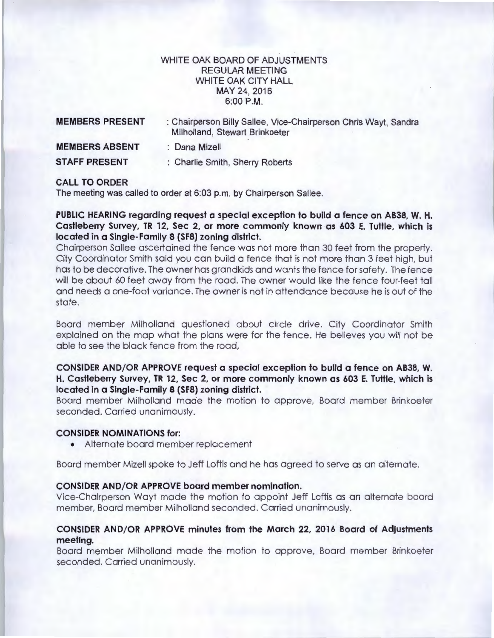## WHITE OAK BOARD OF ADJUSTMENTS REGULAR MEETING WHITE OAK CITY HALL MAY 24,2016 6:00P.M.

| <b>MEMBERS PRESENT</b> | : Chairperson Billy Sallee, Vice-Chairperson Chris Wayt, Sandra<br>Milholland, Stewart Brinkoeter |
|------------------------|---------------------------------------------------------------------------------------------------|
| <b>MEMBERS ABSENT</b>  | : Dana Mizell                                                                                     |
| <b>STAFF PRESENT</b>   | : Charlie Smith, Sherry Roberts                                                                   |

## **CALL TO ORDER**

The meeting was called to order at 6:03 p.m. by Chairperson Sallee.

**PUBLIC HEARING regarding request a special exception to build a fence on AB38, W. H. Castleberry Survey, TR 12, Sec 2, or more commonly known as 603 E. Tuttle, which is located in a Single-Family 8 (SF8) zoning district.** 

Chairperson Sallee ascertained the fence was not more than 30 feet from the property. City Coordinator Smith said you can build a fence that is not more than 3 feet high, but has to be decorative. The owner has grandkids and wants the fence for safety. The fence will be about 60 feet away from the road. The owner would like the fence four-feet tall and needs a one-foot variance. The owner is not in attendance because he is out of the state.

Board member Milholland questioned about circle drive. City Coordinator Smith explained on the map what the plans were for the fence. He believes you will not be able to see the black fence from the road,

# **CONSIDER AND/OR APPROVE request a special exception to build a fence on AB38, W. H. Castleberry Survey, TR 12, Sec 2, or more commonly known as 603 E. Tuttle, which is located in a Single-Family 8 (SF8) zoning district.**

Board member Milholland made the motion to approve, Board member Brinkoeter seconded. Carried unanimously.

#### **CONSIDER NOMINATIONS for:**

• Alternate board member replacement

Board member Mizell spoke to Jeff Loftis and he has agreed to serve as an alternate.

### **CONSIDER AND/OR APPROVE board member nomination.**

Vice-Chairperson Wayt made the motion to appoint Jeff Loftis as an alternate board member, Board member Milholland seconded. Carried unanimously.

# **CONSIDER AND/OR APPROVE minutes from the March 22, 2016 Board of Adjustments meeting.**

Board member Milholland made the motion to approve, Board member Brinkoeter seconded. Carried unanimously.